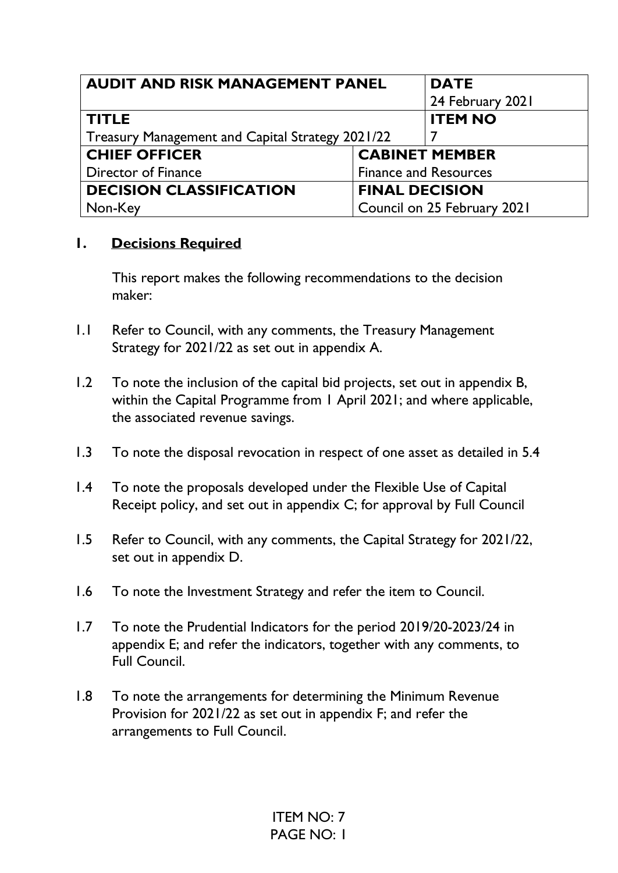| <b>AUDIT AND RISK MANAGEMENT PANEL</b>                  |                              | <b>DATE</b>                 |
|---------------------------------------------------------|------------------------------|-----------------------------|
|                                                         |                              | 24 February 2021            |
| <b>TITLE</b>                                            |                              | <b>ITEM NO</b>              |
| <b>Treasury Management and Capital Strategy 2021/22</b> |                              |                             |
| <b>CHIEF OFFICER</b>                                    |                              | <b>CABINET MEMBER</b>       |
| Director of Finance                                     | <b>Finance and Resources</b> |                             |
| <b>DECISION CLASSIFICATION</b>                          | <b>FINAL DECISION</b>        |                             |
| Non-Key                                                 |                              | Council on 25 February 2021 |

## **1. Decisions Required**

This report makes the following recommendations to the decision maker:

- 1.1 Refer to Council, with any comments, the Treasury Management Strategy for 2021/22 as set out in appendix A.
- 1.2 To note the inclusion of the capital bid projects, set out in appendix B, within the Capital Programme from 1 April 2021; and where applicable, the associated revenue savings.
- 1.3 To note the disposal revocation in respect of one asset as detailed in 5.4
- 1.4 To note the proposals developed under the Flexible Use of Capital Receipt policy, and set out in appendix C; for approval by Full Council
- 1.5 Refer to Council, with any comments, the Capital Strategy for 2021/22, set out in appendix D.
- 1.6 To note the Investment Strategy and refer the item to Council.
- 1.7 To note the Prudential Indicators for the period 2019/20-2023/24 in appendix E; and refer the indicators, together with any comments, to Full Council.
- 1.8 To note the arrangements for determining the Minimum Revenue Provision for 2021/22 as set out in appendix F; and refer the arrangements to Full Council.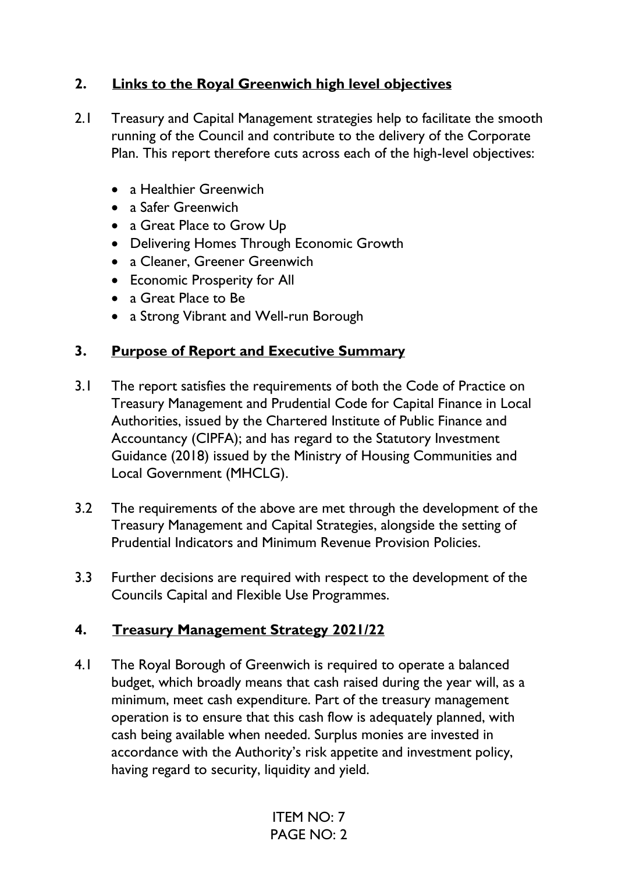## **2. Links to the Royal Greenwich high level objectives**

- 2.1 Treasury and Capital Management strategies help to facilitate the smooth running of the Council and contribute to the delivery of the Corporate Plan. This report therefore cuts across each of the high-level objectives:
	- a Healthier Greenwich
	- a Safer Greenwich
	- a Great Place to Grow Up
	- Delivering Homes Through Economic Growth
	- a Cleaner, Greener Greenwich
	- Economic Prosperity for All
	- a Great Place to Be
	- a Strong Vibrant and Well-run Borough

## **3. Purpose of Report and Executive Summary**

- 3.1 The report satisfies the requirements of both the Code of Practice on Treasury Management and Prudential Code for Capital Finance in Local Authorities, issued by the Chartered Institute of Public Finance and Accountancy (CIPFA); and has regard to the Statutory Investment Guidance (2018) issued by the Ministry of Housing Communities and Local Government (MHCLG).
- 3.2 The requirements of the above are met through the development of the Treasury Management and Capital Strategies, alongside the setting of Prudential Indicators and Minimum Revenue Provision Policies.
- 3.3 Further decisions are required with respect to the development of the Councils Capital and Flexible Use Programmes.

## **4. Treasury Management Strategy 2021/22**

4.1 The Royal Borough of Greenwich is required to operate a balanced budget, which broadly means that cash raised during the year will, as a minimum, meet cash expenditure. Part of the treasury management operation is to ensure that this cash flow is adequately planned, with cash being available when needed. Surplus monies are invested in accordance with the Authority's risk appetite and investment policy, having regard to security, liquidity and yield.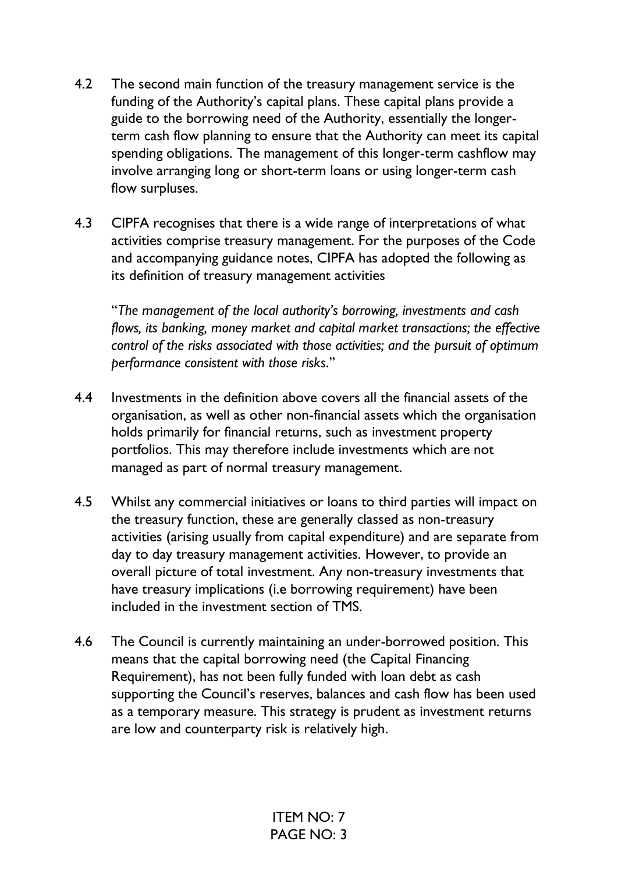- 4.2 The second main function of the treasury management service is the funding of the Authority's capital plans. These capital plans provide a guide to the borrowing need of the Authority, essentially the longerterm cash flow planning to ensure that the Authority can meet its capital spending obligations. The management of this longer-term cashflow may involve arranging long or short-term loans or using longer-term cash flow surpluses.
- 4.3 CIPFA recognises that there is a wide range of interpretations of what activities comprise treasury management. For the purposes of the Code and accompanying guidance notes, CIPFA has adopted the following as its definition of treasury management activities

"*The management of the local authority's borrowing, investments and cash flows, its banking, money market and capital market transactions; the effective control of the risks associated with those activities; and the pursuit of optimum performance consistent with those risks*."

- 4.4 Investments in the definition above covers all the financial assets of the organisation, as well as other non-financial assets which the organisation holds primarily for financial returns, such as investment property portfolios. This may therefore include investments which are not managed as part of normal treasury management.
- 4.5 Whilst any commercial initiatives or loans to third parties will impact on the treasury function, these are generally classed as non-treasury activities (arising usually from capital expenditure) and are separate from day to day treasury management activities. However, to provide an overall picture of total investment. Any non-treasury investments that have treasury implications (i.e borrowing requirement) have been included in the investment section of TMS.
- 4.6 The Council is currently maintaining an under-borrowed position. This means that the capital borrowing need (the Capital Financing Requirement), has not been fully funded with loan debt as cash supporting the Council's reserves, balances and cash flow has been used as a temporary measure. This strategy is prudent as investment returns are low and counterparty risk is relatively high.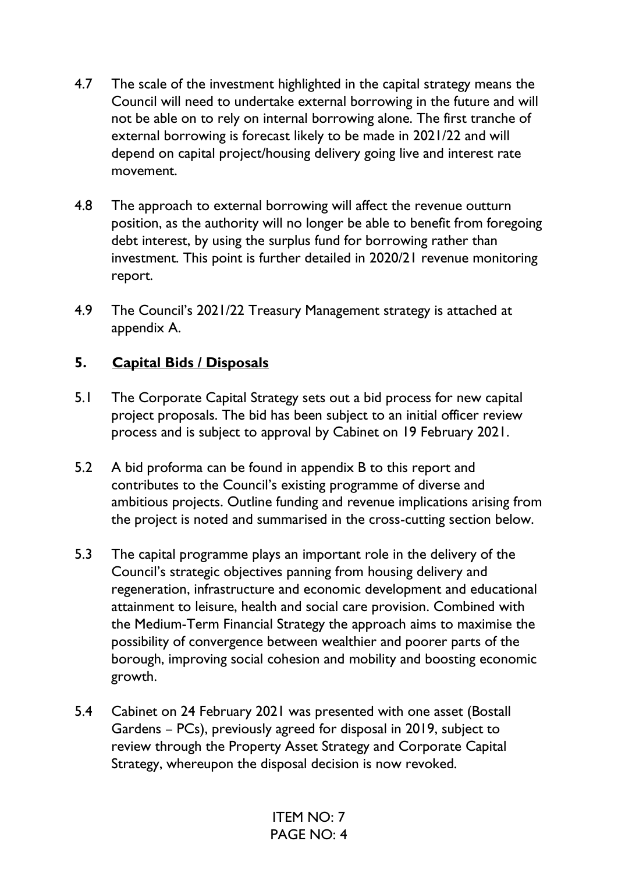- 4.7 The scale of the investment highlighted in the capital strategy means the Council will need to undertake external borrowing in the future and will not be able on to rely on internal borrowing alone. The first tranche of external borrowing is forecast likely to be made in 2021/22 and will depend on capital project/housing delivery going live and interest rate movement.
- 4.8 The approach to external borrowing will affect the revenue outturn position, as the authority will no longer be able to benefit from foregoing debt interest, by using the surplus fund for borrowing rather than investment. This point is further detailed in 2020/21 revenue monitoring report.
- 4.9 The Council's 2021/22 Treasury Management strategy is attached at appendix A.

## **5. Capital Bids / Disposals**

- 5.1 The Corporate Capital Strategy sets out a bid process for new capital project proposals. The bid has been subject to an initial officer review process and is subject to approval by Cabinet on 19 February 2021.
- 5.2 A bid proforma can be found in appendix B to this report and contributes to the Council's existing programme of diverse and ambitious projects. Outline funding and revenue implications arising from the project is noted and summarised in the cross-cutting section below.
- 5.3 The capital programme plays an important role in the delivery of the Council's strategic objectives panning from housing delivery and regeneration, infrastructure and economic development and educational attainment to leisure, health and social care provision. Combined with the Medium-Term Financial Strategy the approach aims to maximise the possibility of convergence between wealthier and poorer parts of the borough, improving social cohesion and mobility and boosting economic growth.
- 5.4 Cabinet on 24 February 2021 was presented with one asset (Bostall Gardens – PCs), previously agreed for disposal in 2019, subject to review through the Property Asset Strategy and Corporate Capital Strategy, whereupon the disposal decision is now revoked.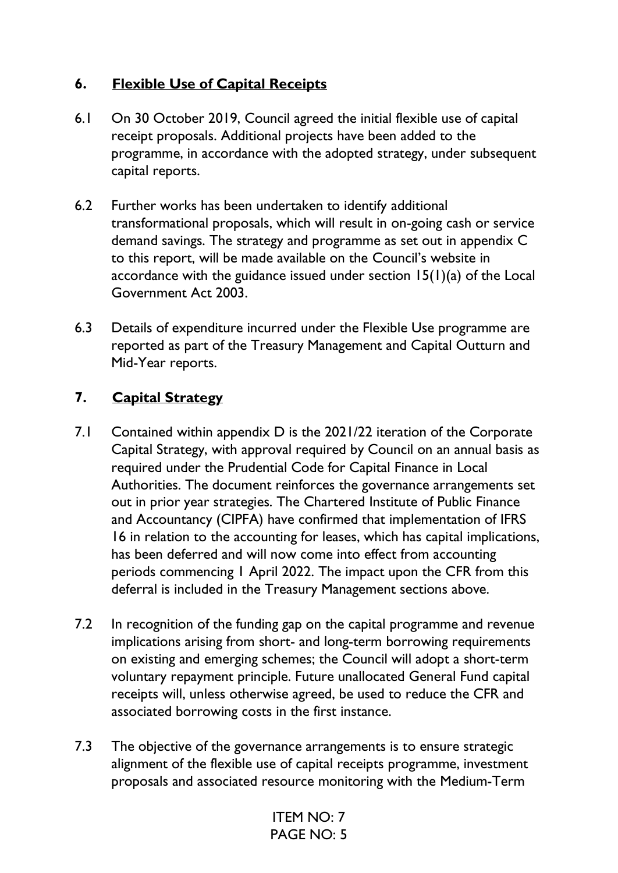## **6. Flexible Use of Capital Receipts**

- 6.1 On 30 October 2019, Council agreed the initial flexible use of capital receipt proposals. Additional projects have been added to the programme, in accordance with the adopted strategy, under subsequent capital reports.
- 6.2 Further works has been undertaken to identify additional transformational proposals, which will result in on-going cash or service demand savings. The strategy and programme as set out in appendix C to this report, will be made available on the Council's website in accordance with the guidance issued under section 15(1)(a) of the Local Government Act 2003.
- 6.3 Details of expenditure incurred under the Flexible Use programme are reported as part of the Treasury Management and Capital Outturn and Mid-Year reports.

## **7. Capital Strategy**

- 7.1 Contained within appendix D is the 2021/22 iteration of the Corporate Capital Strategy, with approval required by Council on an annual basis as required under the Prudential Code for Capital Finance in Local Authorities. The document reinforces the governance arrangements set out in prior year strategies. The Chartered Institute of Public Finance and Accountancy (CIPFA) have confirmed that implementation of IFRS 16 in relation to the accounting for leases, which has capital implications, has been deferred and will now come into effect from accounting periods commencing 1 April 2022. The impact upon the CFR from this deferral is included in the Treasury Management sections above.
- 7.2 In recognition of the funding gap on the capital programme and revenue implications arising from short- and long-term borrowing requirements on existing and emerging schemes; the Council will adopt a short-term voluntary repayment principle. Future unallocated General Fund capital receipts will, unless otherwise agreed, be used to reduce the CFR and associated borrowing costs in the first instance.
- 7.3 The objective of the governance arrangements is to ensure strategic alignment of the flexible use of capital receipts programme, investment proposals and associated resource monitoring with the Medium-Term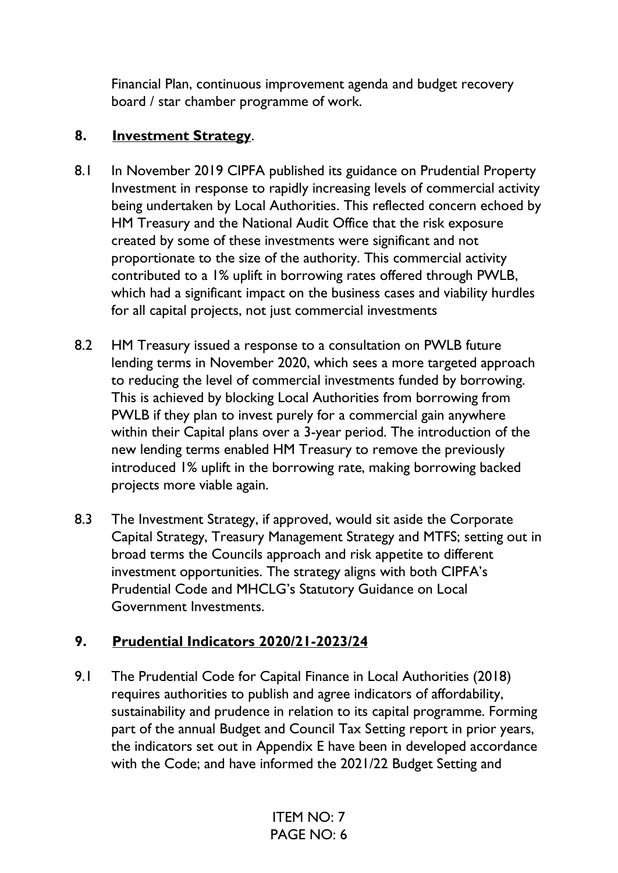Financial Plan, continuous improvement agenda and budget recovery board / star chamber programme of work.

#### **8. Investment Strategy**.

- 8.1 In November 2019 CIPFA published its guidance on Prudential Property Investment in response to rapidly increasing levels of commercial activity being undertaken by Local Authorities. This reflected concern echoed by HM Treasury and the National Audit Office that the risk exposure created by some of these investments were significant and not proportionate to the size of the authority. This commercial activity contributed to a 1% uplift in borrowing rates offered through PWLB, which had a significant impact on the business cases and viability hurdles for all capital projects, not just commercial investments
- 8.2 HM Treasury issued a response to a consultation on PWLB future lending terms in November 2020, which sees a more targeted approach to reducing the level of commercial investments funded by borrowing. This is achieved by blocking Local Authorities from borrowing from PWLB if they plan to invest purely for a commercial gain anywhere within their Capital plans over a 3-year period. The introduction of the new lending terms enabled HM Treasury to remove the previously introduced 1% uplift in the borrowing rate, making borrowing backed projects more viable again.
- 8.3 The Investment Strategy, if approved, would sit aside the Corporate Capital Strategy, Treasury Management Strategy and MTFS; setting out in broad terms the Councils approach and risk appetite to different investment opportunities. The strategy aligns with both CIPFA's Prudential Code and MHCLG's Statutory Guidance on Local Government Investments.

## **9. Prudential Indicators 2020/21-2023/24**

9.1 The Prudential Code for Capital Finance in Local Authorities (2018) requires authorities to publish and agree indicators of affordability, sustainability and prudence in relation to its capital programme. Forming part of the annual Budget and Council Tax Setting report in prior years, the indicators set out in Appendix E have been in developed accordance with the Code; and have informed the 2021/22 Budget Setting and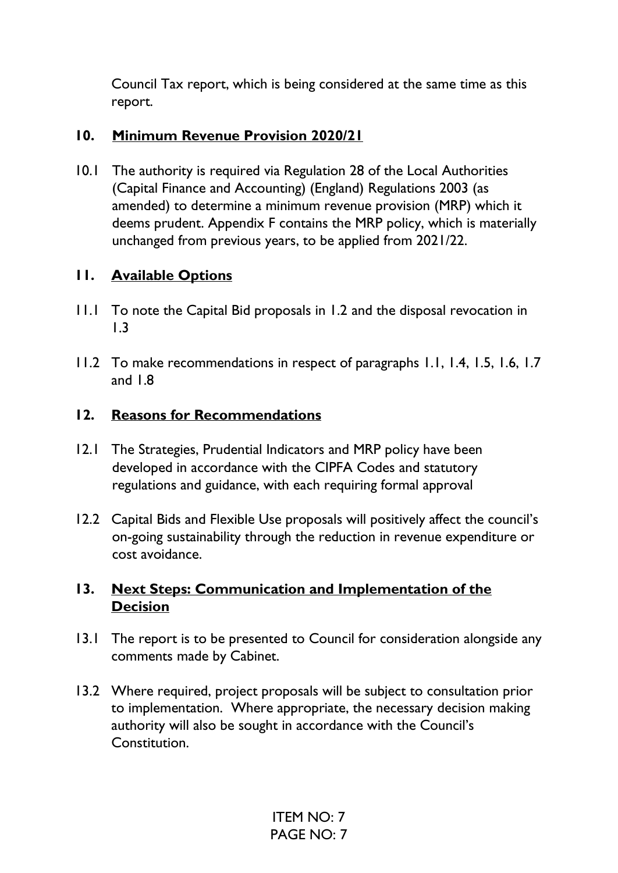Council Tax report, which is being considered at the same time as this report.

## **10. Minimum Revenue Provision 2020/21**

10.1 The authority is required via Regulation 28 of the Local Authorities (Capital Finance and Accounting) (England) Regulations 2003 (as amended) to determine a minimum revenue provision (MRP) which it deems prudent. Appendix F contains the MRP policy, which is materially unchanged from previous years, to be applied from 2021/22.

## **11. Available Options**

- 11.1 To note the Capital Bid proposals in 1.2 and the disposal revocation in 1.3
- 11.2 To make recommendations in respect of paragraphs 1.1, 1.4, 1.5, 1.6, 1.7 and 1.8

## **12. Reasons for Recommendations**

- 12.1 The Strategies, Prudential Indicators and MRP policy have been developed in accordance with the CIPFA Codes and statutory regulations and guidance, with each requiring formal approval
- 12.2 Capital Bids and Flexible Use proposals will positively affect the council's on-going sustainability through the reduction in revenue expenditure or cost avoidance.

## **13. Next Steps: Communication and Implementation of the Decision**

- 13.1 The report is to be presented to Council for consideration alongside any comments made by Cabinet.
- 13.2 Where required, project proposals will be subject to consultation prior to implementation. Where appropriate, the necessary decision making authority will also be sought in accordance with the Council's Constitution.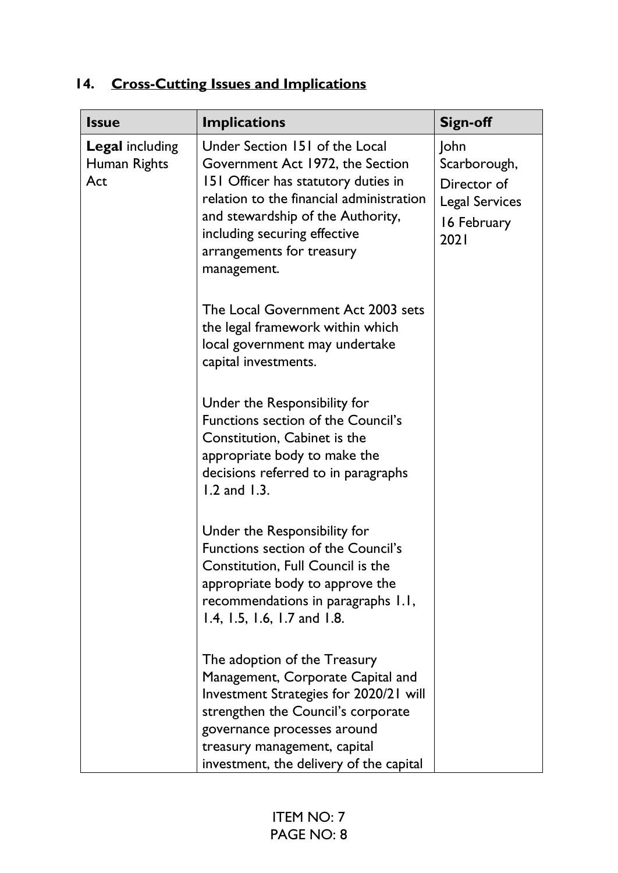| <b>Issue</b>                                  | <b>Implications</b>                                                                                                                                                                                                                                                    | <b>Sign-off</b>                                                                     |
|-----------------------------------------------|------------------------------------------------------------------------------------------------------------------------------------------------------------------------------------------------------------------------------------------------------------------------|-------------------------------------------------------------------------------------|
| <b>Legal including</b><br>Human Rights<br>Act | Under Section 151 of the Local<br>Government Act 1972, the Section<br>151 Officer has statutory duties in<br>relation to the financial administration<br>and stewardship of the Authority,<br>including securing effective<br>arrangements for treasury<br>management. | John<br>Scarborough,<br>Director of<br><b>Legal Services</b><br>16 February<br>2021 |
|                                               | The Local Government Act 2003 sets<br>the legal framework within which<br>local government may undertake<br>capital investments.                                                                                                                                       |                                                                                     |
|                                               | Under the Responsibility for<br>Functions section of the Council's<br>Constitution, Cabinet is the<br>appropriate body to make the<br>decisions referred to in paragraphs<br>$1.2$ and $1.3$ .                                                                         |                                                                                     |
|                                               | Under the Responsibility for<br>Functions section of the Council's<br>Constitution, Full Council is the<br>appropriate body to approve the<br>recommendations in paragraphs 1.1,<br>1.4, 1.5, 1.6, 1.7 and 1.8.                                                        |                                                                                     |
|                                               | The adoption of the Treasury<br>Management, Corporate Capital and<br>Investment Strategies for 2020/21 will<br>strengthen the Council's corporate<br>governance processes around<br>treasury management, capital<br>investment, the delivery of the capital            |                                                                                     |

# **14. Cross-Cutting Issues and Implications**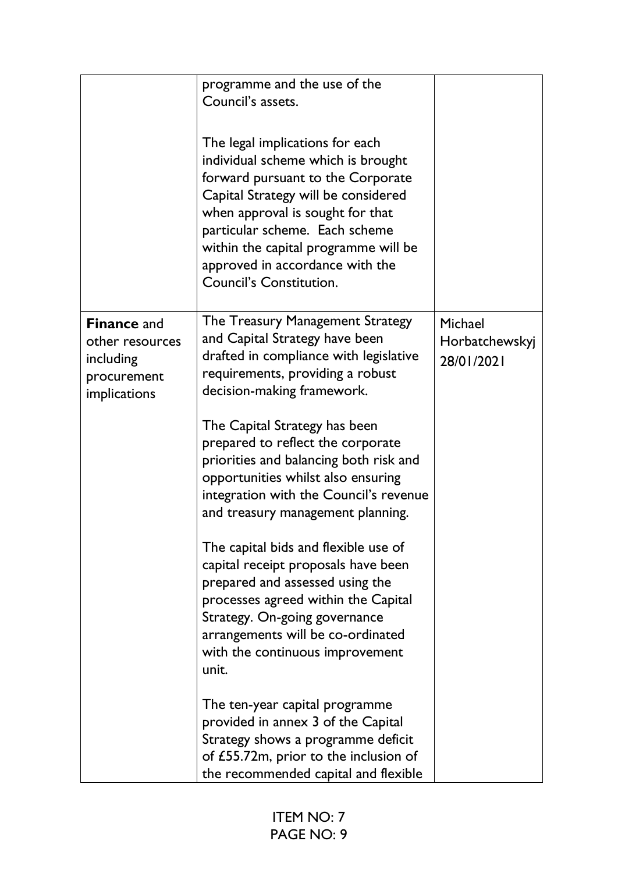|                                                                                   | programme and the use of the<br>Council's assets.<br>The legal implications for each<br>individual scheme which is brought<br>forward pursuant to the Corporate<br>Capital Strategy will be considered<br>when approval is sought for that<br>particular scheme. Each scheme<br>within the capital programme will be<br>approved in accordance with the<br><b>Council's Constitution.</b>                                                                                                                                                                                                                                                                                                                                                                                                                    |                                         |
|-----------------------------------------------------------------------------------|--------------------------------------------------------------------------------------------------------------------------------------------------------------------------------------------------------------------------------------------------------------------------------------------------------------------------------------------------------------------------------------------------------------------------------------------------------------------------------------------------------------------------------------------------------------------------------------------------------------------------------------------------------------------------------------------------------------------------------------------------------------------------------------------------------------|-----------------------------------------|
| <b>Finance and</b><br>other resources<br>including<br>procurement<br>implications | The Treasury Management Strategy<br>and Capital Strategy have been<br>drafted in compliance with legislative<br>requirements, providing a robust<br>decision-making framework.<br>The Capital Strategy has been<br>prepared to reflect the corporate<br>priorities and balancing both risk and<br>opportunities whilst also ensuring<br>integration with the Council's revenue<br>and treasury management planning.<br>The capital bids and flexible use of<br>capital receipt proposals have been<br>prepared and assessed using the<br>processes agreed within the Capital<br>Strategy. On-going governance<br>arrangements will be co-ordinated<br>with the continuous improvement<br>unit.<br>The ten-year capital programme<br>provided in annex 3 of the Capital<br>Strategy shows a programme deficit | Michael<br>Horbatchewskyj<br>28/01/2021 |
|                                                                                   | of £55.72m, prior to the inclusion of<br>the recommended capital and flexible                                                                                                                                                                                                                                                                                                                                                                                                                                                                                                                                                                                                                                                                                                                                |                                         |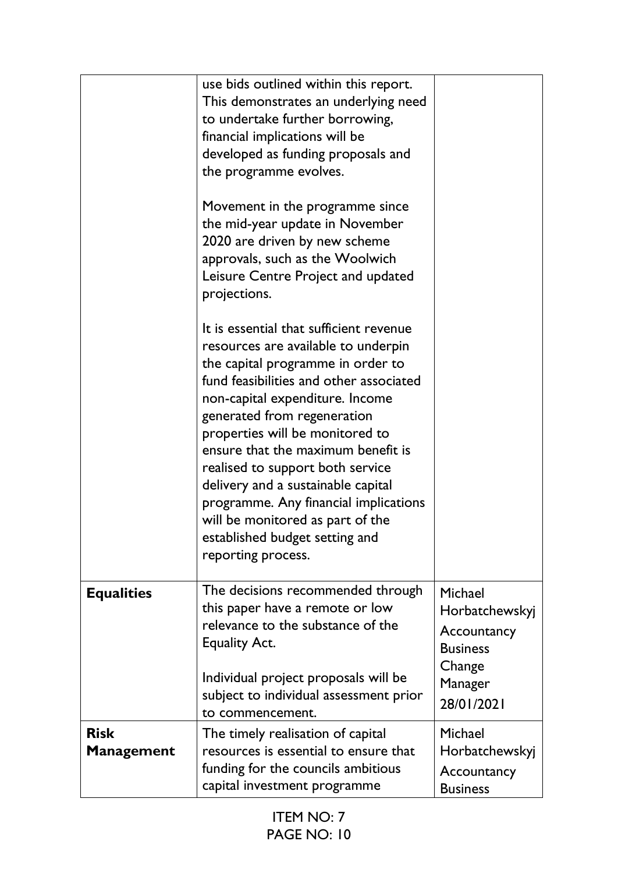|                                  | use bids outlined within this report.<br>This demonstrates an underlying need<br>to undertake further borrowing,<br>financial implications will be<br>developed as funding proposals and<br>the programme evolves.<br>Movement in the programme since<br>the mid-year update in November<br>2020 are driven by new scheme<br>approvals, such as the Woolwich<br>Leisure Centre Project and updated<br>projections.<br>It is essential that sufficient revenue<br>resources are available to underpin<br>the capital programme in order to<br>fund feasibilities and other associated<br>non-capital expenditure. Income<br>generated from regeneration<br>properties will be monitored to<br>ensure that the maximum benefit is<br>realised to support both service<br>delivery and a sustainable capital<br>programme. Any financial implications<br>will be monitored as part of the |                                                                       |
|----------------------------------|----------------------------------------------------------------------------------------------------------------------------------------------------------------------------------------------------------------------------------------------------------------------------------------------------------------------------------------------------------------------------------------------------------------------------------------------------------------------------------------------------------------------------------------------------------------------------------------------------------------------------------------------------------------------------------------------------------------------------------------------------------------------------------------------------------------------------------------------------------------------------------------|-----------------------------------------------------------------------|
|                                  | established budget setting and<br>reporting process.                                                                                                                                                                                                                                                                                                                                                                                                                                                                                                                                                                                                                                                                                                                                                                                                                                   |                                                                       |
| <b>Equalities</b>                | The decisions recommended through<br>this paper have a remote or low<br>relevance to the substance of the<br><b>Equality Act.</b><br>Individual project proposals will be                                                                                                                                                                                                                                                                                                                                                                                                                                                                                                                                                                                                                                                                                                              | Michael<br>Horbatchewskyj<br>Accountancy<br><b>Business</b><br>Change |
|                                  | subject to individual assessment prior<br>to commencement.                                                                                                                                                                                                                                                                                                                                                                                                                                                                                                                                                                                                                                                                                                                                                                                                                             | Manager<br>28/01/2021                                                 |
| <b>Risk</b><br><b>Management</b> | The timely realisation of capital<br>resources is essential to ensure that<br>funding for the councils ambitious<br>capital investment programme                                                                                                                                                                                                                                                                                                                                                                                                                                                                                                                                                                                                                                                                                                                                       | Michael<br>Horbatchewskyj<br>Accountancy<br><b>Business</b>           |